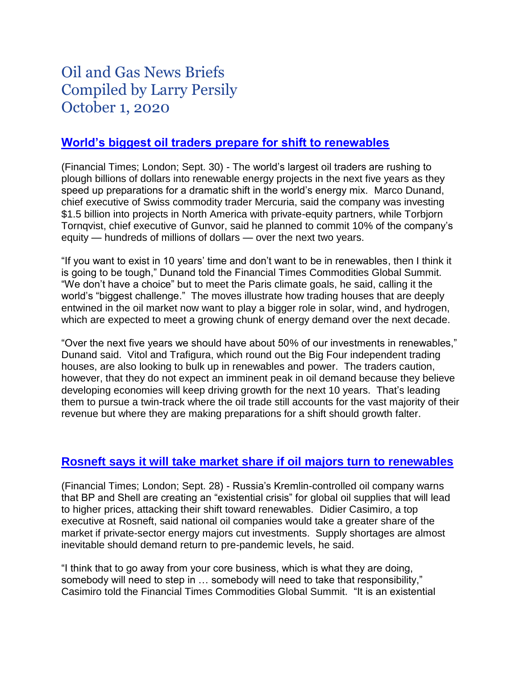# Oil and Gas News Briefs Compiled by Larry Persily October 1, 2020

## **[World's biggest oil traders prepare for shift to renewables](https://www.ft.com/content/394bf3d1-95c9-45e9-ae81-6434d441e237)**

(Financial Times; London; Sept. 30) - The world's largest oil traders are rushing to plough billions of dollars into renewable energy projects in the next five years as they speed up preparations for a dramatic shift in the world's energy mix. Marco Dunand, chief executive of Swiss commodity trader Mercuria, said the company was investing \$1.5 billion into projects in North America with private-equity partners, while Torbjorn Tornqvist, chief executive of Gunvor, said he planned to commit 10% of the company's equity — hundreds of millions of dollars — over the next two years.

"If you want to exist in 10 years' time and don't want to be in renewables, then I think it is going to be tough," Dunand told the Financial Times Commodities Global Summit. "We don't have a choice" but to meet the Paris climate goals, he said, calling it the world's "biggest challenge." The moves illustrate how trading houses that are deeply entwined in the oil market now want to play a bigger role in solar, wind, and hydrogen, which are expected to meet a growing chunk of energy demand over the next decade.

"Over the next five years we should have about 50% of our investments in renewables," Dunand said. Vitol and Trafigura, which round out the Big Four independent trading houses, are also looking to bulk up in renewables and power. The traders caution, however, that they do not expect an imminent peak in oil demand because they believe developing economies will keep driving growth for the next 10 years. That's leading them to pursue a twin-track where the oil trade still accounts for the vast majority of their revenue but where they are making preparations for a shift should growth falter.

#### **[Rosneft says it will take market share if oil majors turn](https://www.ft.com/content/1394d8a1-6e85-451b-a858-ac6218b79d06) to renewables**

(Financial Times; London; Sept. 28) - Russia's Kremlin-controlled oil company warns that BP and Shell are creating an "existential crisis" for global oil supplies that will lead to higher prices, attacking their shift toward renewables. Didier Casimiro, a top executive at Rosneft, said national oil companies would take a greater share of the market if private-sector energy majors cut investments. Supply shortages are almost inevitable should demand return to pre-pandemic levels, he said.

"I think that to go away from your core business, which is what they are doing, somebody will need to step in … somebody will need to take that responsibility," Casimiro told the Financial Times Commodities Global Summit. "It is an existential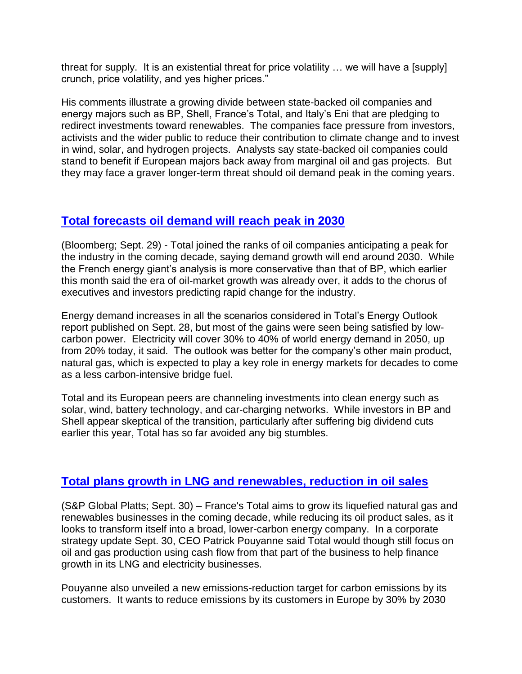threat for supply. It is an existential threat for price volatility … we will have a [supply] crunch, price volatility, and yes higher prices."

His comments illustrate a growing divide between state-backed oil companies and energy majors such as BP, Shell, France's Total, and Italy's Eni that are pledging to redirect investments toward renewables. The companies face pressure from investors, activists and the wider public to reduce their contribution to climate change and to invest in wind, solar, and hydrogen projects. Analysts say state-backed oil companies could stand to benefit if European majors back away from marginal oil and gas projects. But they may face a graver longer-term threat should oil demand peak in the coming years.

## **[Total forecasts oil demand will reach peak in 2030](https://www.worldoil.com/news/2020/9/29/total-joins-bp-in-projecting-an-oil-demand-peak-around-2030)**

(Bloomberg; Sept. 29) - Total joined the ranks of oil companies anticipating a peak for the industry in the coming decade, saying demand growth will end around 2030. While the French energy giant's analysis is more conservative than that of BP, which earlier this month said the era of oil-market growth was already over, it adds to the chorus of executives and investors predicting rapid change for the industry.

Energy demand increases in all the scenarios considered in Total's Energy Outlook report published on Sept. 28, but most of the gains were seen being satisfied by lowcarbon power. Electricity will cover 30% to 40% of world energy demand in 2050, up from 20% today, it said. The outlook was better for the company's other main product, natural gas, which is expected to play a key role in energy markets for decades to come as a less carbon-intensive bridge fuel.

Total and its European peers are channeling investments into clean energy such as solar, wind, battery technology, and car-charging networks. While investors in BP and Shell appear skeptical of the transition, particularly after suffering big dividend cuts earlier this year, Total has so far avoided any big stumbles.

# **[Total plans growth in LNG and renewables, reduction in oil sales](https://www.spglobal.com/platts/en/market-insights/latest-news/natural-gas/093020-frances-total-to-focus-on-lng-renewables-in-major-clean-energy-drive)**

(S&P Global Platts; Sept. 30) – France's Total aims to grow its liquefied natural gas and renewables businesses in the coming decade, while reducing its oil product sales, as it looks to transform itself into a broad, lower-carbon energy company. In a corporate strategy update Sept. 30, CEO Patrick Pouyanne said Total would though still focus on oil and gas production using cash flow from that part of the business to help finance growth in its LNG and electricity businesses.

Pouyanne also unveiled a new emissions-reduction target for carbon emissions by its customers. It wants to reduce emissions by its customers in Europe by 30% by 2030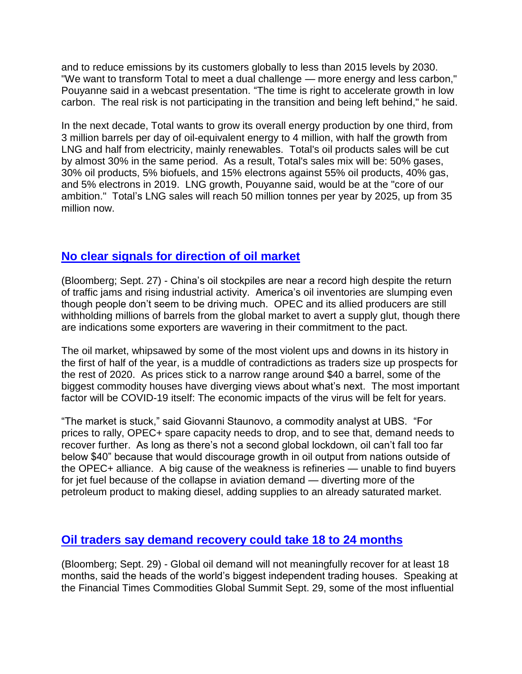and to reduce emissions by its customers globally to less than 2015 levels by 2030. "We want to transform Total to meet a dual challenge — more energy and less carbon," Pouyanne said in a webcast presentation. "The time is right to accelerate growth in low carbon. The real risk is not participating in the transition and being left behind," he said.

In the next decade, Total wants to grow its overall energy production by one third, from 3 million barrels per day of oil-equivalent energy to 4 million, with half the growth from LNG and half from electricity, mainly renewables. Total's oil products sales will be cut by almost 30% in the same period. As a result, Total's sales mix will be: 50% gases, 30% oil products, 5% biofuels, and 15% electrons against 55% oil products, 40% gas, and 5% electrons in 2019. LNG growth, Pouyanne said, would be at the "core of our ambition." Total's LNG sales will reach 50 million tonnes per year by 2025, up from 35 million now.

## **[No clear signals for direction of oil market](https://www.bloomberg.com/news/articles/2020-09-28/oil-market-in-a-muddle-from-mixed-messages-on-demand-glut?sref=wLQ557VG)**

(Bloomberg; Sept. 27) - China's oil stockpiles are near a record high despite the return of traffic jams and rising industrial activity. America's oil inventories are slumping even though people don't seem to be driving much. OPEC and its allied producers are still withholding millions of barrels from the global market to avert a supply glut, though there are indications some exporters are wavering in their commitment to the pact.

The oil market, whipsawed by some of the most violent ups and downs in its history in the first of half of the year, is a muddle of contradictions as traders size up prospects for the rest of 2020. As prices stick to a narrow range around \$40 a barrel, some of the biggest commodity houses have diverging views about what's next. The most important factor will be COVID-19 itself: The economic impacts of the virus will be felt for years.

"The market is stuck," said Giovanni Staunovo, a commodity analyst at UBS. "For prices to rally, OPEC+ spare capacity needs to drop, and to see that, demand needs to recover further. As long as there's not a second global lockdown, oil can't fall too far below \$40" because that would discourage growth in oil output from nations outside of the OPEC+ alliance. A big cause of the weakness is refineries — unable to find buyers for jet fuel because of the collapse in aviation demand — diverting more of the petroleum product to making diesel, adding supplies to an already saturated market.

#### **[Oil traders say demand recovery could take 18 to 24 months](https://www.bloomberg.com/news/articles/2020-09-29/top-oil-traders-say-demand-recovery-is-at-least-18-months-away?sref=wLQ557VG)**

(Bloomberg; Sept. 29) - Global oil demand will not meaningfully recover for at least 18 months, said the heads of the world's biggest independent trading houses. Speaking at the Financial Times Commodities Global Summit Sept. 29, some of the most influential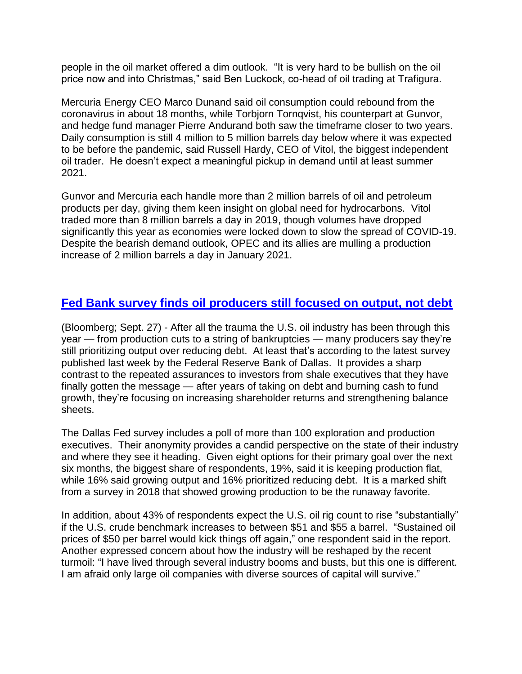people in the oil market offered a dim outlook. "It is very hard to be bullish on the oil price now and into Christmas," said Ben Luckock, co-head of oil trading at Trafigura.

Mercuria Energy CEO Marco Dunand said oil consumption could rebound from the coronavirus in about 18 months, while Torbjorn Tornqvist, his counterpart at Gunvor, and hedge fund manager Pierre Andurand both saw the timeframe closer to two years. Daily consumption is still 4 million to 5 million barrels day below where it was expected to be before the pandemic, said Russell Hardy, CEO of Vitol, the biggest independent oil trader. He doesn't expect a meaningful pickup in demand until at least summer 2021.

Gunvor and Mercuria each handle more than 2 million barrels of oil and petroleum products per day, giving them keen insight on global need for hydrocarbons. Vitol traded more than 8 million barrels a day in 2019, though volumes have dropped significantly this year as economies were locked down to slow the spread of COVID-19. Despite the bearish demand outlook, OPEC and its allies are mulling a production increase of 2 million barrels a day in January 2021.

# **[Fed Bank survey finds oil producers still focused on output, not debt](https://www.news-journal.com/news/business/even-now-u-s-oil-drillers-remain-focused-on-output-over-debt/article_53bb9d9a-fee6-11ea-a7af-636c7b240aac.html)**

(Bloomberg; Sept. 27) - After all the trauma the U.S. oil industry has been through this year — from production cuts to a string of bankruptcies — many producers say they're still prioritizing output over reducing debt. At least that's according to the latest survey published last week by the Federal Reserve Bank of Dallas. It provides a sharp contrast to the repeated assurances to investors from shale executives that they have finally gotten the message — after years of taking on debt and burning cash to fund growth, they're focusing on increasing shareholder returns and strengthening balance sheets.

The Dallas Fed survey includes a poll of more than 100 exploration and production executives. Their anonymity provides a candid perspective on the state of their industry and where they see it heading. Given eight options for their primary goal over the next six months, the biggest share of respondents, 19%, said it is keeping production flat, while 16% said growing output and 16% prioritized reducing debt. It is a marked shift from a survey in 2018 that showed growing production to be the runaway favorite.

In addition, about 43% of respondents expect the U.S. oil rig count to rise "substantially" if the U.S. crude benchmark increases to between \$51 and \$55 a barrel. "Sustained oil prices of \$50 per barrel would kick things off again," one respondent said in the report. Another expressed concern about how the industry will be reshaped by the recent turmoil: "I have lived through several industry booms and busts, but this one is different. I am afraid only large oil companies with diverse sources of capital will survive."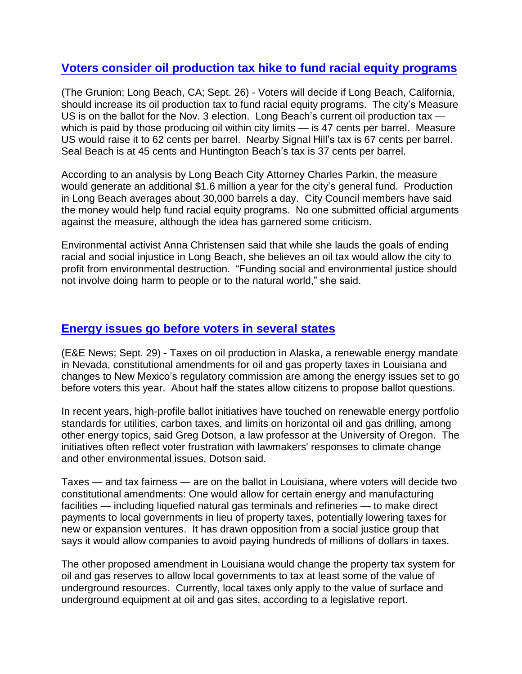## **[Voters consider oil production tax hike to](https://www.gazettes.com/news/government/long-beach-voters-to-decide-oil-production-tax/article_70d2e59e-fc63-11ea-ad49-0fb69e2a5878.html) fund racial equity programs**

(The Grunion; Long Beach, CA; Sept. 26) - Voters will decide if Long Beach, California, should increase its oil production tax to fund racial equity programs. The city's Measure US is on the ballot for the Nov. 3 election. Long Beach's current oil production tax which is paid by those producing oil within city limits — is 47 cents per barrel. Measure US would raise it to 62 cents per barrel. Nearby Signal Hill's tax is 67 cents per barrel. Seal Beach is at 45 cents and Huntington Beach's tax is 37 cents per barrel.

According to an analysis by Long Beach City Attorney Charles Parkin, the measure would generate an additional \$1.6 million a year for the city's general fund. Production in Long Beach averages about 30,000 barrels a day. City Council members have said the money would help fund racial equity programs. No one submitted official arguments against the measure, although the idea has garnered some criticism.

Environmental activist Anna Christensen said that while she lauds the goals of ending racial and social injustice in Long Beach, she believes an oil tax would allow the city to profit from environmental destruction. "Funding social and environmental justice should not involve doing harm to people or to the natural world," she said.

#### **[Energy issues go before voters in several states](https://www.eenews.net/stories/1063714963)**

(E&E News; Sept. 29) - Taxes on oil production in Alaska, a renewable energy mandate in Nevada, constitutional amendments for oil and gas property taxes in Louisiana and changes to New Mexico's regulatory commission are among the energy issues set to go before voters this year. About half the states allow citizens to propose ballot questions.

In recent years, high-profile ballot initiatives have touched on renewable energy portfolio standards for utilities, carbon taxes, and limits on horizontal oil and gas drilling, among other energy topics, said Greg Dotson, a law professor at the University of Oregon. The initiatives often reflect voter frustration with lawmakers' responses to climate change and other environmental issues, Dotson said.

Taxes — and tax fairness — are on the ballot in Louisiana, where voters will decide two constitutional amendments: One would allow for certain energy and manufacturing facilities — including liquefied natural gas terminals and refineries — to make direct payments to local governments in lieu of property taxes, potentially lowering taxes for new or expansion ventures. It has drawn opposition from a social justice group that says it would allow companies to avoid paying hundreds of millions of dollars in taxes.

The other proposed amendment in Louisiana would change the property tax system for oil and gas reserves to allow local governments to tax at least some of the value of underground resources. Currently, local taxes only apply to the value of surface and underground equipment at oil and gas sites, according to a legislative report.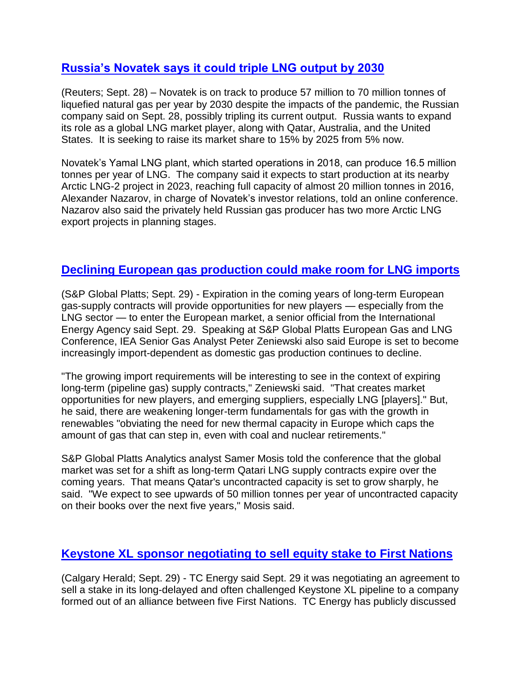# **[Russia's Novatek says it could triple LNG output by 2030](https://www.reuters.com/article/us-novatek-lng/russias-novatek-says-on-track-for-up-to-70-million-t-year-of-lng-by-2030-idUSKBN26K125)**

(Reuters; Sept. 28) – Novatek is on track to produce 57 million to 70 million tonnes of liquefied natural gas per year by 2030 despite the impacts of the pandemic, the Russian company said on Sept. 28, possibly tripling its current output. Russia wants to expand its role as a global LNG market player, along with Qatar, Australia, and the United States. It is seeking to raise its market share to 15% by 2025 from 5% now.

Novatek's Yamal LNG plant, which started operations in 2018, can produce 16.5 million tonnes per year of LNG. The company said it expects to start production at its nearby Arctic LNG-2 project in 2023, reaching full capacity of almost 20 million tonnes in 2016, Alexander Nazarov, in charge of Novatek's investor relations, told an online conference. Nazarov also said the privately held Russian gas producer has two more Arctic LNG export projects in planning stages.

# **[Declining European gas production could make room for LNG imports](https://www.spglobal.com/platts/en/market-insights/latest-news/natural-gas/092920-long-term-gas-contract-expiries-open-opportunities-for-new-lng-players-iea)**

(S&P Global Platts; Sept. 29) - Expiration in the coming years of long-term European gas-supply contracts will provide opportunities for new players — especially from the LNG sector — to enter the European market, a senior official from the International Energy Agency said Sept. 29. Speaking at S&P Global Platts European Gas and LNG Conference, IEA Senior Gas Analyst Peter Zeniewski also said Europe is set to become increasingly import-dependent as domestic gas production continues to decline.

"The growing import requirements will be interesting to see in the context of expiring long-term (pipeline gas) supply contracts," Zeniewski said. "That creates market opportunities for new players, and emerging suppliers, especially LNG [players]." But, he said, there are weakening longer-term fundamentals for gas with the growth in renewables "obviating the need for new thermal capacity in Europe which caps the amount of gas that can step in, even with coal and nuclear retirements."

S&P Global Platts Analytics analyst Samer Mosis told the conference that the global market was set for a shift as long-term Qatari LNG supply contracts expire over the coming years. That means Qatar's uncontracted capacity is set to grow sharply, he said. "We expect to see upwards of 50 million tonnes per year of uncontracted capacity on their books over the next five years," Mosis said.

# **[Keystone XL sponsor negotiating to sell equity stake to First Nations](https://calgaryherald.com/commodities/tc-energy-in-talks-to-sell-portion-of-keystone-xl-to-indigenous-firm)**

(Calgary Herald; Sept. 29) - TC Energy said Sept. 29 it was negotiating an agreement to sell a stake in its long-delayed and often challenged Keystone XL pipeline to a company formed out of an alliance between five First Nations. TC Energy has publicly discussed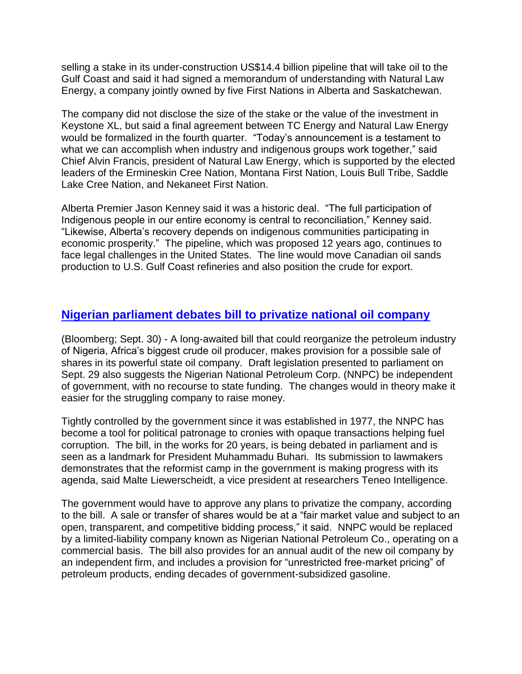selling a stake in its under-construction US\$14.4 billion pipeline that will take oil to the Gulf Coast and said it had signed a memorandum of understanding with Natural Law Energy, a company jointly owned by five First Nations in Alberta and Saskatchewan.

The company did not disclose the size of the stake or the value of the investment in Keystone XL, but said a final agreement between TC Energy and Natural Law Energy would be formalized in the fourth quarter. "Today's announcement is a testament to what we can accomplish when industry and indigenous groups work together," said Chief Alvin Francis, president of Natural Law Energy, which is supported by the elected leaders of the Ermineskin Cree Nation, Montana First Nation, Louis Bull Tribe, Saddle Lake Cree Nation, and Nekaneet First Nation.

Alberta Premier Jason Kenney said it was a historic deal. "The full participation of Indigenous people in our entire economy is central to reconciliation," Kenney said. "Likewise, Alberta's recovery depends on indigenous communities participating in economic prosperity." The pipeline, which was proposed 12 years ago, continues to face legal challenges in the United States. The line would move Canadian oil sands production to U.S. Gulf Coast refineries and also position the crude for export.

## **[Nigerian parliament debates bill to privatize national oil company](https://www.msn.com/en-us/money/companies/nigeria-e2-80-99s-state-oil-company-may-sell-shares-under-new-law/ar-BB19yJpK)**

(Bloomberg; Sept. 30) - A long-awaited bill that could reorganize the petroleum industry of Nigeria, Africa's biggest crude oil producer, makes provision for a possible sale of shares in its powerful state oil company. Draft legislation presented to parliament on Sept. 29 also suggests the Nigerian National Petroleum Corp. (NNPC) be independent of government, with no recourse to state funding. The changes would in theory make it easier for the struggling company to raise money.

Tightly controlled by the government since it was established in 1977, the NNPC has become a tool for political patronage to cronies with opaque transactions helping fuel corruption. The bill, in the works for 20 years, is being debated in parliament and is seen as a landmark for President Muhammadu Buhari. Its submission to lawmakers demonstrates that the reformist camp in the government is making progress with its agenda, said Malte Liewerscheidt, a vice president at researchers Teneo Intelligence.

The government would have to approve any plans to privatize the company, according to the bill. A sale or transfer of shares would be at a "fair market value and subject to an open, transparent, and competitive bidding process," it said. NNPC would be replaced by a limited-liability company known as Nigerian National Petroleum Co., operating on a commercial basis. The bill also provides for an annual audit of the new oil company by an independent firm, and includes a provision for "unrestricted free-market pricing" of petroleum products, ending decades of government-subsidized gasoline.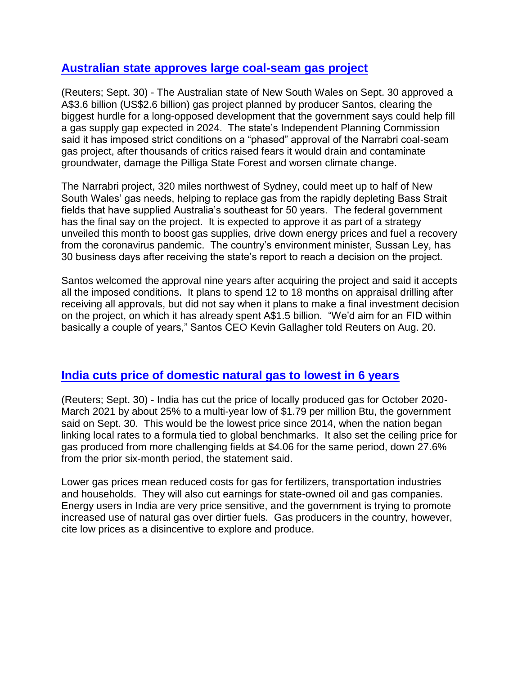#### **[Australian state approves large coal-seam gas project](https://www.reuters.com/article/australia-gas-santos-int/australian-state-green-lights-santos-2-6-billion-narrabri-gas-project-idUSKBN26K3QL)**

(Reuters; Sept. 30) - The Australian state of New South Wales on Sept. 30 approved a A\$3.6 billion (US\$2.6 billion) gas project planned by producer Santos, clearing the biggest hurdle for a long-opposed development that the government says could help fill a gas supply gap expected in 2024. The state's Independent Planning Commission said it has imposed strict conditions on a "phased" approval of the Narrabri coal-seam gas project, after thousands of critics raised fears it would drain and contaminate groundwater, damage the Pilliga State Forest and worsen climate change.

The Narrabri project, 320 miles northwest of Sydney, could meet up to half of New South Wales' gas needs, helping to replace gas from the rapidly depleting Bass Strait fields that have supplied Australia's southeast for 50 years. The federal government has the final say on the project. It is expected to approve it as part of a strategy unveiled this month to boost gas supplies, drive down energy prices and fuel a recovery from the coronavirus pandemic. The country's environment minister, Sussan Ley, has 30 business days after receiving the state's report to reach a decision on the project.

Santos welcomed the approval nine years after acquiring the project and said it accepts all the imposed conditions. It plans to spend 12 to 18 months on appraisal drilling after receiving all approvals, but did not say when it plans to make a final investment decision on the project, on which it has already spent A\$1.5 billion. "We'd aim for an FID within basically a couple of years," Santos CEO Kevin Gallagher told Reuters on Aug. 20.

#### **[India cuts price of domestic natural gas to lowest in 6 years](https://www.reuters.com/article/india-gas-idUSKBN26L2GA)**

(Reuters; Sept. 30) - India has cut the price of locally produced gas for October 2020- March 2021 by about 25% to a multi-year low of \$1.79 per million Btu, the government said on Sept. 30. This would be the lowest price since 2014, when the nation began linking local rates to a formula tied to global benchmarks. It also set the ceiling price for gas produced from more challenging fields at \$4.06 for the same period, down 27.6% from the prior six-month period, the statement said.

Lower gas prices mean reduced costs for gas for fertilizers, transportation industries and households. They will also cut earnings for state-owned oil and gas companies. Energy users in India are very price sensitive, and the government is trying to promote increased use of natural gas over dirtier fuels. Gas producers in the country, however, cite low prices as a disincentive to explore and produce.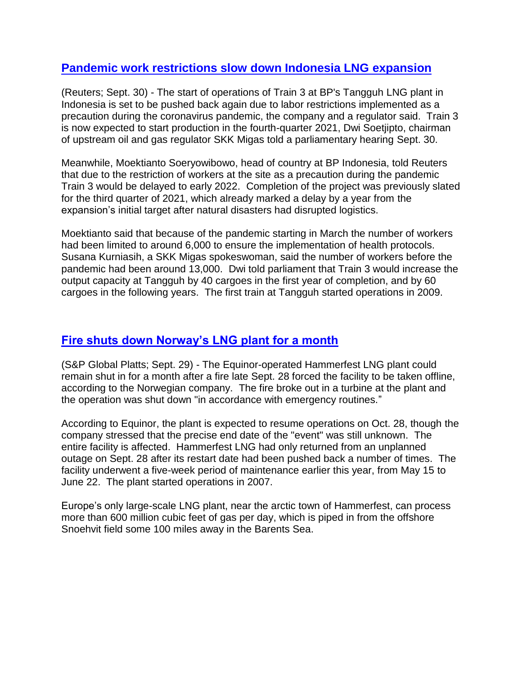## **[Pandemic work restrictions slow down Indonesia LNG expansion](https://www.reuters.com/article/us-lng-indonesia-bp/bps-tangguh-lng-train-3-in-indonesia-delayed-again-due-to-pandemic-idUSKBN26L0VW)**

(Reuters; Sept. 30) - The start of operations of Train 3 at BP's Tangguh LNG plant in Indonesia is set to be pushed back again due to labor restrictions implemented as a precaution during the coronavirus pandemic, the company and a regulator said. Train 3 is now expected to start production in the fourth-quarter 2021, Dwi Soetjipto, chairman of upstream oil and gas regulator SKK Migas told a parliamentary hearing Sept. 30.

Meanwhile, Moektianto Soeryowibowo, head of country at BP Indonesia, told Reuters that due to the restriction of workers at the site as a precaution during the pandemic Train 3 would be delayed to early 2022. Completion of the project was previously slated for the third quarter of 2021, which already marked a delay by a year from the expansion's initial target after natural disasters had disrupted logistics.

Moektianto said that because of the pandemic starting in March the number of workers had been limited to around 6,000 to ensure the implementation of health protocols. Susana Kurniasih, a SKK Migas spokeswoman, said the number of workers before the pandemic had been around 13,000. Dwi told parliament that Train 3 would increase the output capacity at Tangguh by 40 cargoes in the first year of completion, and by 60 cargoes in the following years. The first train at Tangguh started operations in 2009.

# **[Fire shuts down Norway's LNG plant for a month](https://www.spglobal.com/platts/en/market-insights/latest-news/natural-gas/092920-norways-hammerfest-lng-plant-could-be-out-for-a-month-following-fire-remit)**

(S&P Global Platts; Sept. 29) - The Equinor-operated Hammerfest LNG plant could remain shut in for a month after a fire late Sept. 28 forced the facility to be taken offline, according to the Norwegian company. The fire broke out in a turbine at the plant and the operation was shut down "in accordance with emergency routines."

According to Equinor, the plant is expected to resume operations on Oct. 28, though the company stressed that the precise end date of the "event" was still unknown. The entire facility is affected. Hammerfest LNG had only returned from an unplanned outage on Sept. 28 after its restart date had been pushed back a number of times. The facility underwent a five-week period of maintenance earlier this year, from May 15 to June 22. The plant started operations in 2007.

Europe's only large-scale LNG plant, near the arctic town of Hammerfest, can process more than 600 million cubic feet of gas per day, which is piped in from the offshore Snoehvit field some 100 miles away in the Barents Sea.